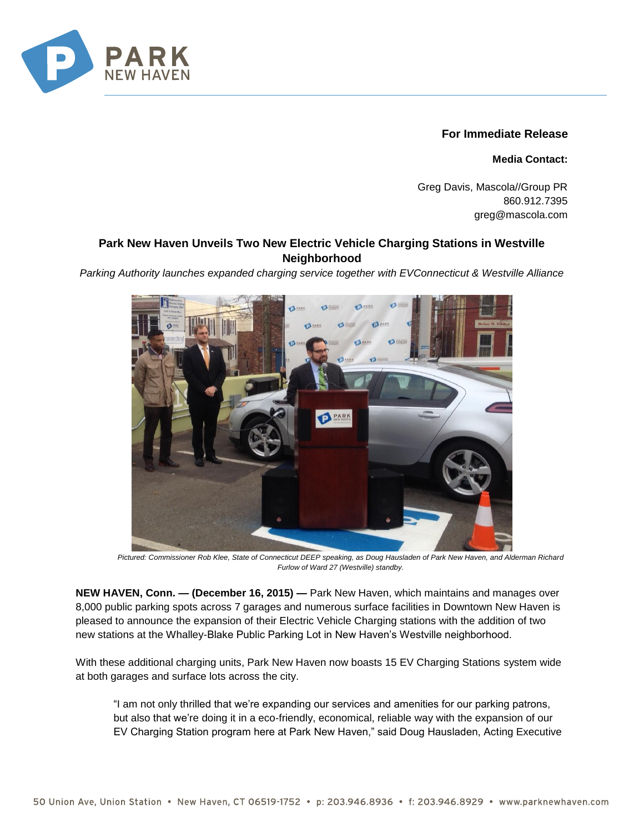

## **For Immediate Release**

**Media Contact:**

Greg Davis, Mascola//Group PR 860.912.7395 greg@mascola.com

## **Park New Haven Unveils Two New Electric Vehicle Charging Stations in Westville Neighborhood**

*Parking Authority launches expanded charging service together with EVConnecticut & Westville Alliance*



*Pictured: Commissioner Rob Klee, State of Connecticut DEEP speaking, as Doug Hausladen of Park New Haven, and Alderman Richard Furlow of Ward 27 (Westville) standby.*

**NEW HAVEN, Conn. — (December 16, 2015) —** Park New Haven, which maintains and manages over 8,000 public parking spots across 7 garages and numerous surface facilities in Downtown New Haven is pleased to announce the expansion of their Electric Vehicle Charging stations with the addition of two new stations at the Whalley-Blake Public Parking Lot in New Haven's Westville neighborhood.

With these additional charging units, Park New Haven now boasts 15 EV Charging Stations system wide at both garages and surface lots across the city.

"I am not only thrilled that we're expanding our services and amenities for our parking patrons, but also that we're doing it in a eco-friendly, economical, reliable way with the expansion of our EV Charging Station program here at Park New Haven," said Doug Hausladen, Acting Executive